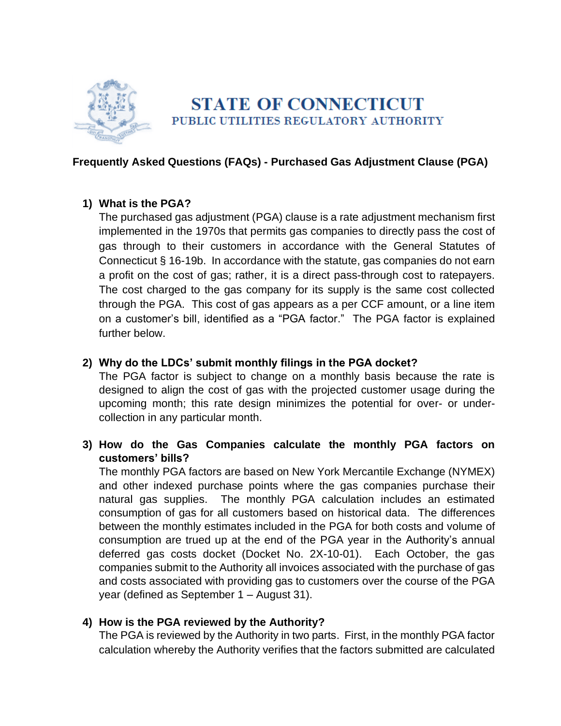

# **STATE OF CONNECTICUT** PUBLIC UTILITIES REGULATORY AUTHORITY

## **Frequently Asked Questions (FAQs) - Purchased Gas Adjustment Clause (PGA)**

#### **1) What is the PGA?**

The purchased gas adjustment (PGA) clause is a rate adjustment mechanism first implemented in the 1970s that permits gas companies to directly pass the cost of gas through to their customers in accordance with the General Statutes of Connecticut § 16-19b. In accordance with the statute, gas companies do not earn a profit on the cost of gas; rather, it is a direct pass-through cost to ratepayers. The cost charged to the gas company for its supply is the same cost collected through the PGA. This cost of gas appears as a per CCF amount, or a line item on a customer's bill, identified as a "PGA factor." The PGA factor is explained further below.

## **2) Why do the LDCs' submit monthly filings in the PGA docket?**

The PGA factor is subject to change on a monthly basis because the rate is designed to align the cost of gas with the projected customer usage during the upcoming month; this rate design minimizes the potential for over- or undercollection in any particular month.

**3) How do the Gas Companies calculate the monthly PGA factors on customers' bills?**

The monthly PGA factors are based on New York Mercantile Exchange (NYMEX) and other indexed purchase points where the gas companies purchase their natural gas supplies. The monthly PGA calculation includes an estimated consumption of gas for all customers based on historical data. The differences between the monthly estimates included in the PGA for both costs and volume of consumption are trued up at the end of the PGA year in the Authority's annual deferred gas costs docket (Docket No. 2X-10-01). Each October, the gas companies submit to the Authority all invoices associated with the purchase of gas and costs associated with providing gas to customers over the course of the PGA year (defined as September 1 – August 31).

#### **4) How is the PGA reviewed by the Authority?**

The PGA is reviewed by the Authority in two parts. First, in the monthly PGA factor calculation whereby the Authority verifies that the factors submitted are calculated